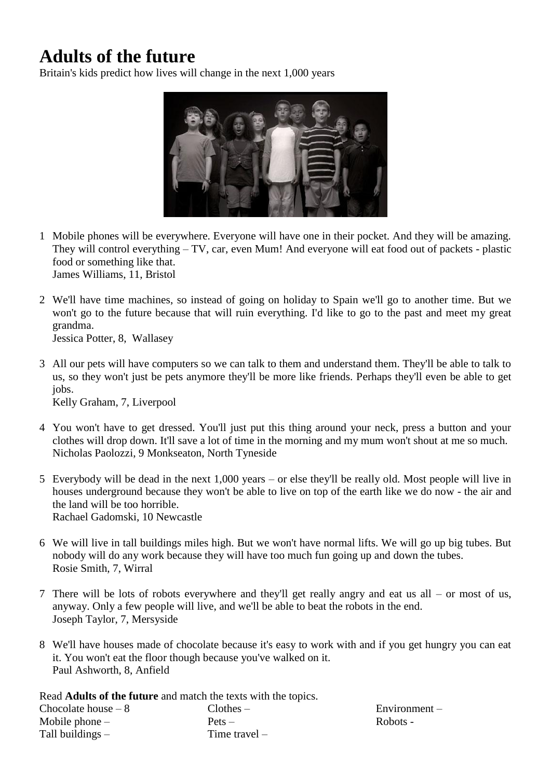## **Adults of the future**

Britain's kids predict how lives will change in the next 1,000 years



- 1 Mobile phones will be everywhere. Everyone will have one in their pocket. And they will be amazing. They will control everything – TV, car, even Mum! And everyone will eat food out of packets - plastic food or something like that. James Williams, 11, Bristol
- 2 We'll have time machines, so instead of going on holiday to Spain we'll go to another time. But we won't go to the future because that will ruin everything. I'd like to go to the past and meet my great grandma.

Jessica Potter, 8, Wallasey

3 All our pets will have computers so we can talk to them and understand them. They'll be able to talk to us, so they won't just be pets anymore they'll be more like friends. Perhaps they'll even be able to get jobs.

Kelly Graham, 7, Liverpool

- 4 You won't have to get dressed. You'll just put this thing around your neck, press a button and your clothes will drop down. It'll save a lot of time in the morning and my mum won't shout at me so much. Nicholas Paolozzi, 9 Monkseaton, North Tyneside
- 5 Everybody will be dead in the next 1,000 years or else they'll be really old. Most people will live in houses underground because they won't be able to live on top of the earth like we do now - the air and the land will be too horrible. Rachael Gadomski, 10 Newcastle
- 6 We will live in tall buildings miles high. But we won't have normal lifts. We will go up big tubes. But nobody will do any work because they will have too much fun going up and down the tubes. Rosie Smith, 7, Wirral
- 7 There will be lots of robots everywhere and they'll get really angry and eat us all or most of us, anyway. Only a few people will live, and we'll be able to beat the robots in the end. Joseph Taylor, 7, Mersyside
- 8 We'll have houses made of chocolate because it's easy to work with and if you get hungry you can eat it. You won't eat the floor though because you've walked on it. Paul Ashworth, 8, Anfield

Read **Adults of the future** and match the texts with the topics.

| Chocolate house $-8$ | $Clothers -$    |
|----------------------|-----------------|
| Mobile phone $-$     | $Pets -$        |
| Tall buildings $-$   | Time travel $-$ |

Environment – Robots -